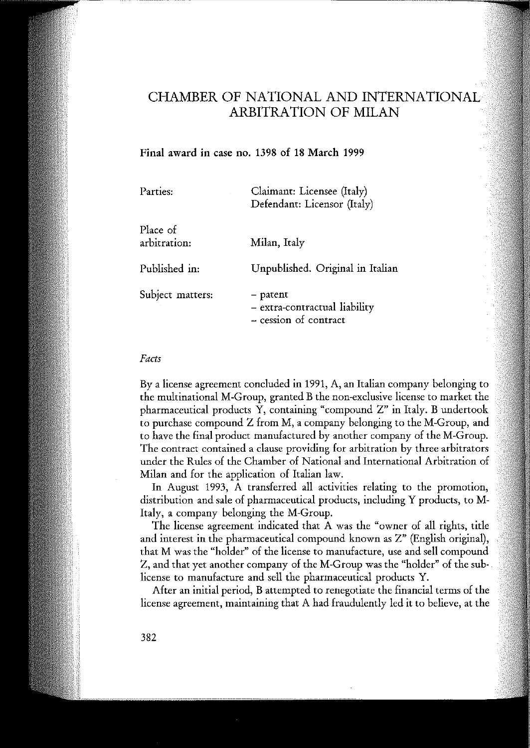# CHAMBER OF NATIONAL AND INTERNATIONAL ARBITRATION OF MILAN

## **Final** award **in** case no. 1398 of 18 March 1999

| Parties:                 | Claimant: Licensee (Italy)<br>Defendant: Licensor (Italy)          |
|--------------------------|--------------------------------------------------------------------|
| Place of<br>arbitration: | Milan, Italy                                                       |
| Published in:            | Unpublished. Original in Italian                                   |
| Subject matters:         | - patent<br>- extra-contractual liability<br>- cession of contract |

#### *Facts*

Bya license agreement concluded in 1991, A, an Italian company belonging to the multinational M-Group, granted Bthe non-exclusive license to market the pharmaceutical products  $\tilde{Y}$ , containing "compound  $Z$ " in Italy. B undertook to purchase compound Z from M, a company belonging to the M-Group, and to have the final product manufactured by another company of the M-Group. The contract contained a clause providing for arbitration by three arbitrators under the Rules of the Chamber of National and International Arbitration of Milan and for the application of Italian law.

In August 1993, A transferred ali activities relating to the promotion, distribution and sale of pharmaceutical products, including Y products, to M-Italy, a company belonging the M-Group.

The license agreement indicated that A was the "owner of ali rights, title and interest in the pharmaceutical compound known as Z" (English originai), that M was the "holder" of the license to manufacture, use and sell compound Z, and that yet another company of the M-Group was the "holder" of the sublicense to manufacture and sell the pharmaceutical products Y.

After an initial period, B attempted to renegotiate the financial terms of the license agreement, maintaining that A had fraudulently led it to believe, at the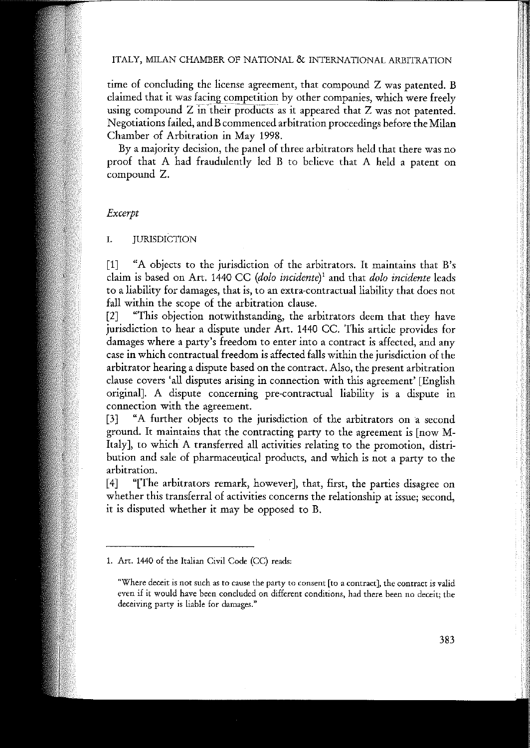#### ITALY, MILAN CHAMBER OF NATIONAL & INTERNATIONAL ARBITRATION

time of concluding the license agreement, that compound Z was patented. B claimed that it was facing competition by other companies, which were freely using compound  $Z$  in their products as it appeared that  $Z$  was not patented. Negotiations failed, and Bcommenced arbitration proceedings before the Milan Chamber of Arbitration in May 1998.

By a majority decision, the panel of three arbitrators held that there was no proof that A had fraudulently led B to believe that A held a patent on compound Z.

#### *Excerpt*

I. JURISDICTION

[1] "A objects to the jurisdiction of the arbitrators. It maintains that B's claim is based on Art. 1440 CC *(dolo incidente)'* and that *dolo incidente* leads to a liability for damages, that is, to an extra-contractual liability that does not fall within the scope of the arbitration clause.

[2] "This objection notwithstanding, the arbitrators deem that they have jurisdiction to hear a dispute under Art. 1440 CC. This article provides for damages where a party's freedom to enter into a contract is affected, and any case in which contractual freedom is affected falls within the jurisdiction of the arbitrator hearing a dispute based on the contract. AIso, the present arbitration clause covers 'ali disputes arising in connection with this agreement' [English originaI]. A dispute concerning pre-contractuaI liability is a dispute in **connection with the agreement.**

[3] "A further objects to the jurisdiction of the arbitrators on a second ground. It maintains that the contracting party to the agreement is [now M-Italy], to which A transferred all activities relating to the promotion, distribution and sale of pharmaceutical products, and which is not a party to the **arbitration.**

[4] "[The arbitrators remark, however], that, first, the parties disagree on **whether this transferral of activities concerns the relationship at issue; second,** it is disputed whether it may be opposed to B.

**<sup>1.</sup> Art. 1440 of the Italian Civil Code (CC) reads:**

<sup>&</sup>quot;Where deceit is not such as to cause the party to consent [to a contract], the contract is valid **even if it would have been eoncluded on different eonditions, had there been no deeeit; the deceiving party is liable far damages."**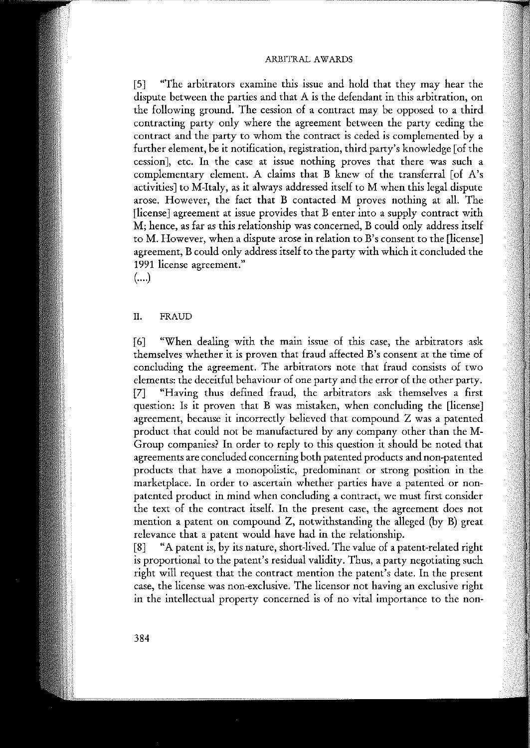#### ARBITRAL AWARDS

[5] "The arbitrators examine this issue and hold that they may hear the dispute between the parties and that A is the defendant in this arbitration, on the following ground. The cession of a contract may be opposed to a third contracting party only where the agreement between the party ceding the contract and the party to whom the contract is ceded is complemented by a further element, be it notification, registration, third party's knowledge [of the **cession], etc. In the case at issue nothing proves that there was such a** complementary element. A claims that  $\overrightarrow{B}$  knew of the transferral [of A's activities] to M-Italy, as it always addressed itself to M when this legal dispute arose. However, the fact that B contacted M proves nothing at alI. The [Iicense] agreement at issue provides that B enter into a supply contract with M; hence, as far as this relationship was concerned, B could only address itself **to M. However, when a dispute arose in relation to B's consent to the [license]** agreement, B could only address itself to the party with which it concluded the **1991 license agreement."**

(....)

### II. FRAUD

[6] "When dealing with the main issue of this case, the arbitrators ask themselves whether it is proven that fraud affected B's consent at the time of concluding the agreement. The arbitrators note that fraud consists of two elements: the deceitful behaviour of one party and the error of the other party. [7] "Having thus defined fraud, the arbitrators ask themselves a first question: Is it proven that B was mistaken, when concluding the [license] agreement, because it incorrectly believed that compound Z was a patented product that could not be manufactured by any company other than the M-Group companies? In arder to reply to this question it should be noted that agreements are concluded concerning both patented products and non-patented **products that have a monopolistic, predominant or strong position in the** marketplace. In order to ascertain whether parties have a patented or nonpatented product in mind when concluding a contract, we must first consider the text of the contract itself. In the present case, the agreement does not mention a patent on compound Z, notwithstanding the alIeged (by B) great relevance that a patent would have had in the relationship.

[8] "A patent is, by its nature, short-lived. The value of a patent-related right is proportional to the patent's residual validity. Thus, a party negotiating such right will request that the contract mention the patent's date. In the present **case, the license was non-exclusive. The licensor no! having an exc1usÌve right** in the intellectual property concerned is of no vital importance to the non-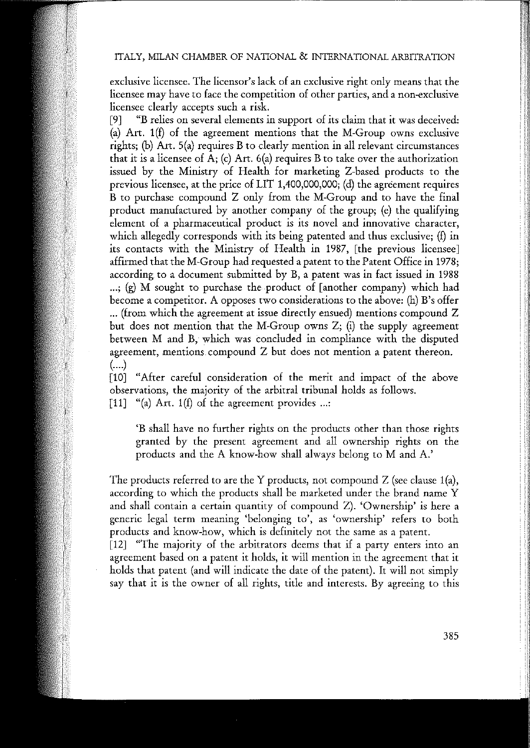exclusive licensee. The licensor's lack of an exclusive right only means that the **licensee may have to face the eompetition cf other parties, and a non-exclusive** licensee clearly accepts such a risk.

[9] "B relies on severa! elements in support of its claim that it was deceived: (a) Art. 1(t) of the agreement mentions that the M-Group owns exclusive rights; (b) Art.  $5(a)$  requires B to clearly mention in all relevant circumstances that it is a licensee of  $A$ ; (c) Art. 6(a) requires B to take over the authorization issued by the Ministry of Health for marketing Z-based products to the previous licensee, at the price of LIT 1,400,000,000; (d) the agreement requires B to purchase compound Z only from the M-Group and to have the final product manufactured by another company of the group; (e) the qualifying **element cf a pharmaceutìcal produc! is its nove! and innovative character,** which allegedly corresponds with its being patented and thus exclusive; (f) in its contacts with the Ministry of Health in 1987, [the previous licensee] affirmed that the M-Group had requested a patent to the Patent Office in 1978; according to a document submitted by B, a patent was in fact issued in 1988 ...; (g) M sought to purchase the product of [another company) which had become a competitor. A opposes two considerations to the above: (h) B's offer ... (from which the agreement at issue directly ensued) mentions compound Z but does not mention that the M-Group owns  $Z$ ; (i) the supply agreement between M and B, which was concluded in compliance with the disputed **agreement, mentions. compound Z but does no! mention a patent thereon.** (....)

[10] "After careful consideration of the merit and impact of the above observations, the majority of the arbitral tribunal holds as follows. [11] "(a) Art. 1(f) of the agreement provides ...:

'B shall have no further rights on the products other than those rights granted by the present agreement and ali ownership rights on the products and the A know-how shall always belong to M and A.'

The products referred to are the Y products, not compound  $Z$  (see clause 1(a), according to which the products shall be marketed under the brand name Y and shall contain a certain quantity of compound Z). 'Ownership' is here a **generic legaI term meaning 'belonging to', as 'ownership' refers to both** products and know-how, which is definitely not the same as a patent.

[12] "The majority of the arbitrators deems that **if** a party enters into an agreement based on a patent it holds, it will mention in the agreement that it holds that patent (and will indicate the date of the patent). It will not simply say that it is the owner of ali rights, tide and interests. By agreeing to this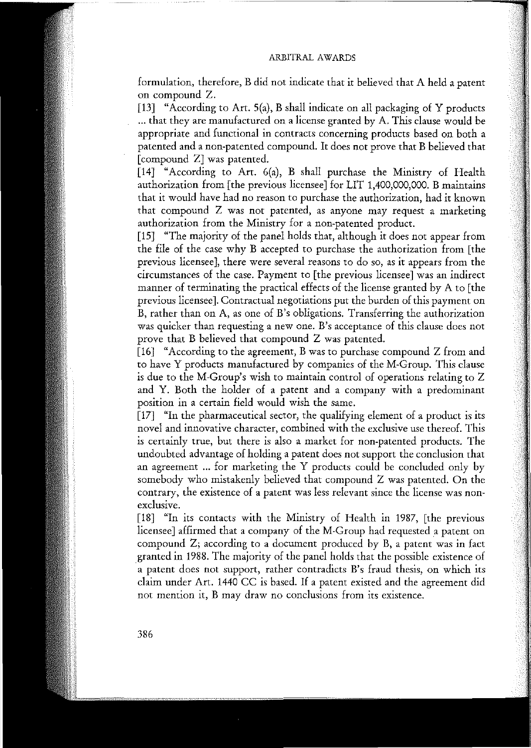#### ARBITRAL AWARDS

formulation, therefore, B did not indicate that it believed that A held a patent on compound Z.

[13] "According to Art. 5(a), B shall indicate on all packaging of Y products ... that they are manufactured on a license granted by A. This clause would be appropriate and functional in contracts concerning products based on both a patented and a non-patented compound. It does not prove that B believed that [compound Z] was patented.

[14] "According to Art. 6(a), B shall purchase the Ministry of Health authorization from [the previous licensee] for LIT 1,400,000,000. B maintains that it would have had no reason to purchase the authorization, had it known **that compound Z was no! patented, as anyone may request a marketìng** authorization from the Ministry for a non-patented product.

[15] "The majority of the panel holds that, although it does not appear from the file of the case why B accepted to purchase the authorization from [the **previous licensee], there were several reasons to do so, as it appears from the circumstances af the case. Payment to [the previous licensee] was an indirect** manner of terminating the practical effects of the license granted by A to [the previous licensee]. Contractual negotiations put the burden of this payment on **B, rather than on A, as arre af B's obligations. Transferring the authorìzatìon was quìcker than requesting a new ane. B's acceptanee af this clause does no!** prove that B believed that compound Z was patented.

[16] "According to the agreement, B was to purchase compound Z from and to have Y products manufactured by companies of the M-Group. This clause **is due to the M-Group's wish to maintain control af operations relating to Z** and Y. Both the holder of a patent and a company with a predominant position in a certain field would wish the same.

[17] "In the pharmaceutical sector, the qualifying element of a product is its novel and innovative character, combined with the exclusive use thereof. This is certainly tme, but there is also a market for non-patented products. The undoubted advantage of holding a patent does not support the conclusion that an agreement ... for marketing the Y products could be concluded only by somebody who mistakenly believed that compound Z was patented. On the **contrary, the existence cf a patent was less relevant since the license was nonexcIusive.**

[18] "In its contacts with the Ministry of Health in 1987, [the previous licensee] affirmed that a company of the M-Group had requested a patent on compound Z; according to a document produced by B, a patent was in fact granted in 1988. The majority of the panel holds that the possible existence of **a patent does no! suppor!, rather eontradicts B's fraud thesis, on which its** claim under Art. 1440 CC is based. If a patent existed and the agreement did **not mention it, B may draw no conclusions from its existence.**